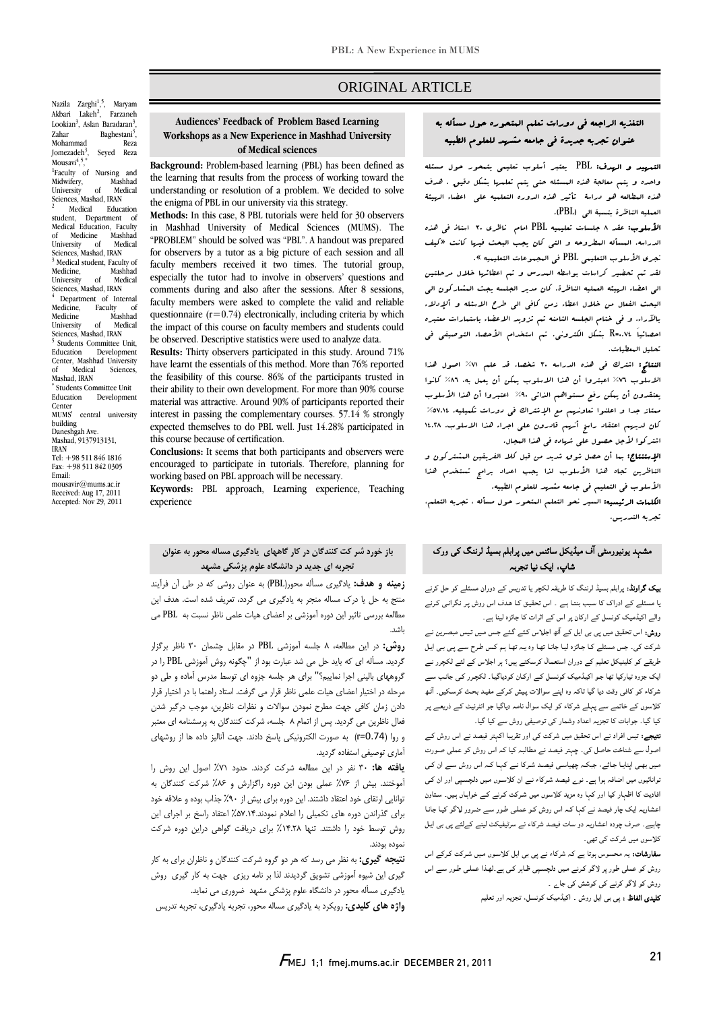### ORIGINAL ARTICLE

# التغذيه الراجعه في دورات تعلم المتحوره حول مسأله به عنوان تجربه جديدة في جامعه مشهد للعلوم الطبيه

Ī  $\overline{a}$ 

 التمهيد و الهدف: PBL يعتبر أسلوب تعليمي يتمحور حول مسئله واحده و يتم معالجة هذه المسئله حتي يتم تعلمها بشكل دقيق . هدف هذه المطالعه هو دراسة تأثير هذه الدوره التعلميه علي اعضاء الهيئة العمليه الناظرة بنسبة الي (PBL(.

 الأسلوب: عقد 8 جلسات تعليميه PBL امام ناظري 30 استاذ في هذه نجريات المسانة المعروبية و التي التال يجب البحث ليريا<br>نجري الأملوب التعليمي PBL في البجبوعات التعليميه ». الدراسه. المسأله المطروحه و التي كان يجب البحث فيها كانت «كيف

 لقد تم تحضير كراسات بواسطه المدرس و تم اعطائها خلال مرحلتين الي اعضاء الهيئه العمليه الناظرة. كان مدير الجلسه يجث المشاركون الي البحث الفعال من خلال اعطاء زمن كافي الي طرح الاسئله و ألإدلاء بالآراء. و في ختام الجلسه الثامنه تم تزويد الاعضاء باستمارات معتبره احصائياَ 0.74=R بشكل الكتروني. تم استخدام الأحصاء التوصيفي في تحليل المعطيات.

حليل البعضيات.<br>**النتائج:** اشترك في هذه الدراسه ٣٠ شخصا. قد علم ٧١٪ اصول هذا السلوم «بعرت في حدد العربي» (1986 من الاسلام به العون عدد العربية)<br>الاسلوب ٧٦٪ اعبتروا أن هذا الاسلوب يمكن أن يعمل به، ٨٦٪ كانوا يعتقدون أن يمكن رفع مستواهم الذاتي %90 اعتبروا أن هذا الأسلوب ممتاز جدا و اعلنوا تعاونهم مع الإشتراك في دورات تكميليه. %57.14 كان لديهم اعتقاد راسخ أنهم قادرون علي اجراء هذا الاسلوب. 14.28 اشتركوا لأجل حصول علي شهاده في هذا المجال.

ا**لإستنتاج:** بـا أن حصل ش<sub>و</sub>ق شديد من قبل كلا الفريقين الـشتركون و<br>. الناظرين تجاه هذا الأسلوب لذا يجب اعداد برامج تستخدم هذا<br>من الأسلوب في التعليم في جامعه مشهد للعلوم الطبيه.

المستحدث عن السيرم في المستشرب من المتحور على المتحدث.<br>**الكلمات الرئيسيه:** السير نحو التعلم المتحور حول مسأله ، تجربه التعلم، تجربه التدريس.

## مشہد یونیورسٹی آف میڈیکل سائنس میں پرابلم بسیڈ لرننگ کی ورک شاپ، ایک نیا تجربہ

 بیک گراونڈ: پرابلم بسیڈ لرننگ کا طریقہ لکچر یا تدریس کے دوران مسئلے کو حل کرنے یا مسئلے کے ادراک کا سـبب بنتـا ہـے ۔ اس تحقیـق کـا ھـدف اس روش پـر نگرانـی کـرنے والے اکیڈمیک کونسل کے ارکان پر اس کے اثرات کا جائزہ لینا ہے۔

 روش: اس تحقیق میں پی بی ایل کے آٹھ اجلـاس کـئے گـئے جـس مـیں تـیس مبصـرین نـے شرکت کی۔ جس مسئلے کـا جـائزہ لیـا جانـا تھـا وہ یـہ تھـا ہـم کـس طـرح سـے پـی بـی ایـل<br>. س بعے تو تعيين سن تعيم نے دوران استعداد ترسائنے ہيں. ہر اجلاس نے سے تحدرر کے<br>ایک جزوہ تیارکیا تھا جو اکیڈمیک کونسل کے ارکـان کودیاگيـا۔ لکچـرر کـی جانـب سے شرکاء کو کافی وقت دیا گيا تاکہ وہ اپنے سوالات پـیش کـرکے مفیـد بحـث کرسـکیں۔ آٹـھ کلاسوں کے خاتمے سے پہلے شرکاء کو ایک سوال نامہ دیاگيا جو انٹرنیٹ کـے ذریعـے پـر کیا گيا۔ جوابات کا تجزیہ اعداد وشمار کی توصیفی روش سے کیا گیا۔ طریقے کو کلینیکل تعلیم کے دوران استعمال کرسکتے ہیں؟ ہر اجلاس کے لئے لکچرر نـے

ن**تیجے:** تیس افراد نے اس تحقیق میں شرکت کی اور تقریبا اکہتر فیصد نے اس روش کے<br>۔ اصول سے شناخت حاصل کی۔ چہتر فیصد نے مطالبہ کیا کہ اس روش کو عملی صـورت توانائيوں میں اضافہ ہوا ہے۔ نوے فیصد شـرکاء نـے ان کلاسـوں مـیں دلچسـپی اور ان کـی افادیت کا اظہار کیا اور کہا وہ مزید کلاسوں میں شـرکت کـرنے کـے خواہـاں ہـیں۔ سـتاون اعشاریہ ایک چار فیصد نے کہا کـہ اس روش کـو عملـی طـور سـے ضـرور لـاگو کیـا جانـا چاہیے۔ صرف چودہ اعشاریہ دو سات فیصد شرکاء نے سرٹیفیکٹ لینے کےلئے پی بی ایـل کلاسوں میں شرکت کی تھی۔ مـیں بھـی اپنایـا جـائے، جبکـہ چھیاسـی فیصـد شـرکا نـے کہـا کـہ اس روش سـے ان کـی

سدرسات، یہ مانسوس ہوتا ہے کہ سرتاء کے پی بی این فرنسوں میں سرتات فرانے اس<br>روش کو عملی طور پر لاگو کرنے میں دلچسپی ظاہر کی ہے۔لھذا عملی طور سے اس روش کو لاگو کرنے کی کوشش کی جاے ۔ سفارشات: یہ محسوس ہوتا ہے کہ شرکاء نے پی بی ایل کلاسـوں مـیں شـرکت کـرکے اس

کلیدی الفاظ : پی بی ایل روش ۔ اکیڈمیک کونسل، تجزیہ اور تعلیم

#### U<br>- **Workshops as a New Experience in Mashhad University Audiences' Feedback of Problem Based Learning of Medical sciences**

Ī  $\overline{a}$ 

 **Background:** Problem-based learning (PBL) has been defined as the learning that results from the process of working toward the the enigma of PBL in our university via this strategy. understanding or resolution of a problem. We decided to solve

 **Methods:** In this case, 8 PBL tutorials were held for 30 observers in masnnad university of medical sciences (mums). The<br>"PROBLEM" should be solved was "PBL". A handout was prepared for observers by a tutor as a big picture of each session and all faculty members received it two times. The tutorial group, comments during and also after the sessions. After 8 sessions, faculty members were asked to complete the valid and reliable quesuonnaire  $(r=0.74)$  electronically, including criteria by which<br>the impact of this course on faculty members and students could be observed. Descriptive statistics were used to analyze data. in Mashhad University of Medical Sciences (MUMS). The especially the tutor had to involve in observers' questions and questionnaire  $(r=0.74)$  electronically, including criteria by which

 **Results:** Thirty observers participated in this study. Around 71% the feasibility of this course. 86% of the participants trusted in their ability to their own development. For more than 90% course material was attractive. Around 90% of participants reported their<br>interest in passing the complementary courses. 57.14 % strongly expected themselves to do PBL well. Just 14.28% participated in this course because of certification.<br>**Conclusions:** It seems that both participants and observers were have learnt the essentials of this method. More than 76% reported material was attractive. Around 90% of participants reported their this course because of certification.

encouraged to participate in tutorials. Therefore, planning for working based on PBL approach will be necessary.

 **Keywords:** PBL approach, Learning experience, Teaching experience

### **باز خورد شر كت كنندگان در كار گاههاي يادگيري مساله محور به عنوان تجربه اي جديد در دانشگاه علوم پزشكي مشهد**

 **زمينه و هدف:** يادگيري مسأله محور(PBL (به عنوان روشي كه در طي آن فرآيند منتج به حل يا درك مساله منجر به يادگيري مي گردد، تعريف شده است. هدف اين مطالعه بررسي تاثير اين دوره آموزشي بر اعضاي هيات علمي ناظر نسبت به PBL مي باشد.

 **روش:** در اين مطالعه، 8 جلسه آموزشي PBL در مقابل چشمان 30 ناظر برگزار ترتيبه هسته اي ته چيد من مي سد مبارت بود از آچانود روس آموزشي مده از مر<br>گروههاي باليني اجرا نماييم؟" براي هر جلسه جزوه اي توسط مدرس آماده و طي دو مرحله در اختيار اعضاي هيات علمي ناظر قرار مي گرفت. استاد راهنما با در اختيار قرار دادن زمان كافي جهت مطرح نمودن سوالات و نظرات ناظرين، موجب درگير شدن فعال ناظرين مي گرديد. پس از اتمام 8 جلسه، شركت كنندگان به پرسشنامه اي معتبر و روا (0.74=r (به صورت الكترونيكي پاسخ دادند. جهت آناليز داده ها از روشهاي آماري توصيفي استفاده گرديد. گرديد. مسأله اي كه بايد حل مي شد عبارت بود از "چگونه روش آموزشي PBL را در

 **يافته ها:** 30 نفر در اين مطالعه شركت كردند. حدود %71 اصول اين روش را تو عسد بيس از ۲۰۰۰ علمي بودن اين دوره زادرارس و ۳۰۰۰ متر عد عسد دن بد<br>نوانايي ارتقاي خود اعتقاد داشتند. اين دوره براي بيش از ۹۰٪ جذاب بوده و علاقه خود براي گذراندن دوره هاي تكميلي را اعلام نمودند%57.14. اعتقاد راسخ بر اجراي اين روش توسط خود را داشتند. تنها %14.28 براي دريافت گواهي دراين دوره شركت آموختند. بيش از %76 عملي بودن اين دوره راگزارش و %86 شركت كنندگان به نموده بودند.

 **نتيجه گيري:** به نظر مي رسد كه هر دو گروه شركت كنندگان و ناظران براي به كار گيري اين شيوه آموزشي تشويق گرديدند لذا بر نامه ريزي جهت به كار گيري روش يادگيري مسأله محور در دانشگاه علوم پزشكي مشهد ضروري مي نمايد.

**واژه هاي كليدي:** رويكرد به يادگيري مساله محور، تجربه يادگيري، تجربه تدريس

Nazila Zarghi<sup>1</sup>,<sup>5</sup>, Maryam Akbari Lakeh<sup>2</sup>, , Farzaneh Lookian<sup>3</sup>, Aslan Baradaran<sup>3</sup> , Zahar Baghestani<sup>3</sup>,<br>Mohammad Reza , Mohammad Iomezadeh $3$ . , Seyed Reza Mousavi<sup>4</sup>,<sup>5</sup> , \* <sup>1</sup>Faculty of Nursing and<br>Mashhad Midwifery, Mashhad<br>University of Medical University of Medical Sciences, Mashad, IRAN 2 Medical Education student, Department of Medical Education, Faculty Medicine Mashhad<br>ersity of Medical University Sciences, Mashad, IRAN <sup>3</sup> Medical student, Faculty of Medicine, Mashhad<br>University of Medical University of Medical<br>Sciences, Mashad, IRAN<br><sup>4</sup> Department of Internal Department of Internal Medicine, Faculty of<br>Medicine Mashbad Medicine Mashhad<br>University of Medical University of Medical<br>Sciences, Mashad, IRAN<br>5 Students Committee Unit <sup>5</sup> Students Committee Unit,<br>Education Development Development Center, Mashhad University of Medical Sciences, Mashad, IRAN \* Students Committee Unit Education Development Center MUMS' central university building Daneshgah Ave. Mashad, 9137913131, IRAN Tel: +98 511 846 1816 Fax: +98 511 842 0305 Email: mousavir@mums.ac.ir

Received: Aug 17, 2011 Accepted: Nov 29, 2011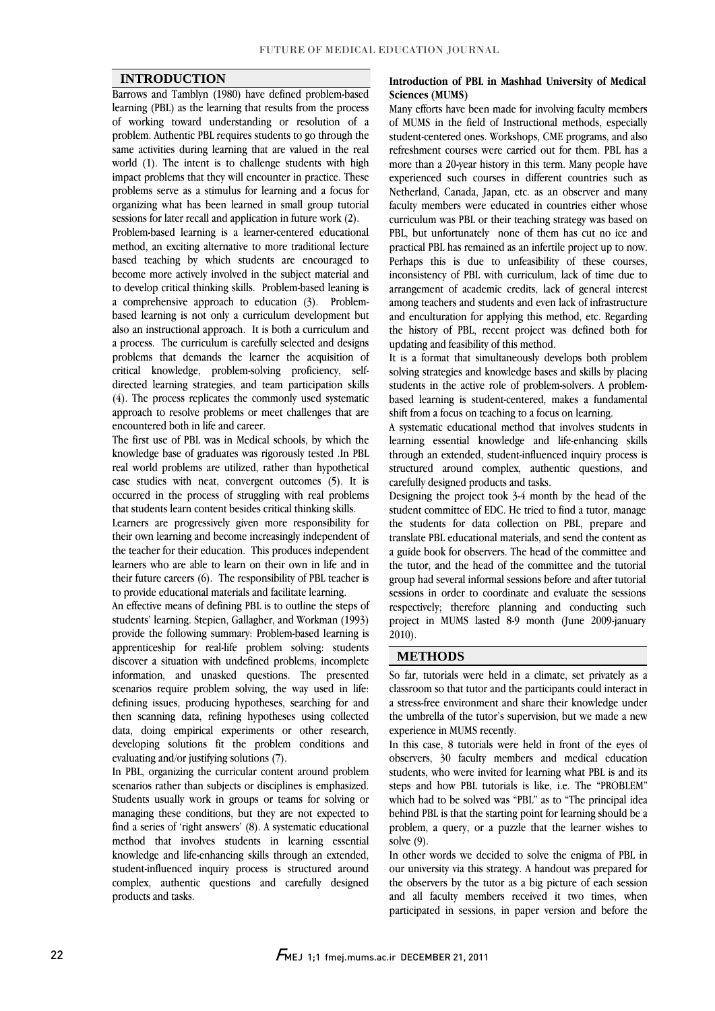#### **INTRODUCTION**

 Barrows and Tamblyn (1980) have defined problem-based learning (PBL) as the learning that results from the process problem. Authentic PBL requires students to go through the same activities during learning that are valued in the real world (1). The intent is to challenge students with high impact problems that they will encounter in practice. These organizing what has been learned in small group tutorial of working toward understanding or resolution of a problems serve as a stimulus for learning and a focus for sessions for later recall and application in future work (2).

 Problem-based learning is a learner-centered educational method, an exciting alternative to more traditional lecture become more actively involved in the subject material and to develop critical thinking skills. Problem-based leaning is a comprehensive approach to education (3). Problem- based learning is not only a curriculum development but a process. The curriculum is carefully selected and designs problems that demands the learner the acquisition of critical knowledge, problem-solving proficiency, selfdirected learning strategies, and team participation skills approach to resolve problems or meet challenges that are based teaching by which students are encouraged to also an instructional approach. It is both a curriculum and (4). The process replicates the commonly used systematic encountered both in life and career.

 The first use of PBL was in Medical schools, by which the real world problems are utilized, rather than hypothetical case studies with neat, convergent outcomes  $(5)$ . It is occurred in the process of struggling with real problems knowledge base of graduates was rigorously tested .In PBL that students learn content besides critical thinking skills.

 their own learning and become increasingly independent of the teacher for their education. This produces independent learners who are able to learn on their own in life and in their future careers (6). The responsibility of PBL teacher is Learners are progressively given more responsibility for to provide educational materials and facilitate learning.

 An effective means of defining PBL is to outline the steps of students' learning. Stepien, Gallagher, and Workman (1993) provide the following summary: Problem-based learning is apprenticeship for real-life problem solving: students information, and unasked questions. The presented scenarios require problem solving, the way used in life: defining issues, producing hypotheses, searching for and then scanning data, refining hypotheses using collected developing solutions fit the problem conditions and discover a situation with undefined problems, incomplete data, doing empirical experiments or other research, evaluating and/or justifying solutions (7).

 In PBL, organizing the curricular content around problem scenarios rather than subjects or disciplines is emphasized.<br>Students usually work in groups or teams for solving or managing these conditions, but they are not expected to find a series of 'right answers' (8). A systematic educational method that involves students in learning essential student-influenced inquiry process is structured around complex, authentic questions and carefully designed scenarios rather than subjects or disciplines is emphasized. knowledge and life-enhancing skills through an extended, products and tasks.

#### **Introduction of PBL in Mashhad University of Medical Sciences (MUMS)**

 Many efforts have been made for involving faculty members student-centered ones. Workshops, CME programs, and also refreshment courses were carried out for them. PBL has a more than a 20-year history in this term. Many people have experienced such courses in different countries such as faculty members were educated in countries either whose curriculum was PBL or their teaching strategy was based on PBL, but unfortunately none of them has cut no ice and practical PBL has remained as an infertile project up to now. inconsistency of PBL with curriculum, lack of time due to arrangement of academic credits, lack of general interest among teachers and students and even lack of infrastructure and enculturation for applying this method, etc. Regarding the history of PBL, recent project was defined both for<br>undating and feasibility of this method of MUMS in the field of Instructional methods, especially Netherland, Canada, Japan, etc. as an observer and many Perhaps this is due to unfeasibility of these courses, updating and feasibility of this method.

It is a format that simultaneously develops both problem It is a format that simultaneously develops both problemsolving strategies and knowledge bases and skills by placing students in the active role of problem-solvers. A problem- based learning is student-centered, makes a fundamental shift from a focus on teaching to a focus on learning.

 A systematic educational method that involves students in learning essential knowledge and life-enhancing skills structured around complex, authentic questions, and through an extended, student-influenced inquiry process is carefully designed products and tasks.

 Designing the project took 3-4 month by the head of the student committee of EDC. He tried to find a tutor, manage translate PBL educational materials, and send the content as a guide book for observers. The head of the committee and the tutor, and the head of the committee and the tutorial group had several informal sessions before and after tutorial respectively; therefore planning and conducting such project in MUMS lasted 8-9 month (June 2009-january the students for data collection on PBL, prepare and sessions in order to coordinate and evaluate the sessions 2010).

#### **METHODS**

 So far, tutorials were held in a climate, set privately as a classroom so that tutor and the participants could interact in a stress-free environment and share their knowledge under the umbrella of the tutor's supervision, but we made a new experience in MUMS recently.

In this case, 8 tutorials were held in front of the eyes of observers, 30 faculty members and medical education students, who were invited for learning what PBL is and its which had to be solved was "PBL" as to "The principal idea behind PBL is that the starting point for learning should be a problem, a query, or a puzzle that the learner wishes to steps and how PBL tutorials is like, i.e. The "PROBLEM" solve (9).

solve (9).<br>In other words we decided to solve the enigma of PBL in our university via this strategy. A handout was prepared for the observers by the tutor as a big picture of each session and all faculty members received it two times, when participated in sessions, in paper version and before the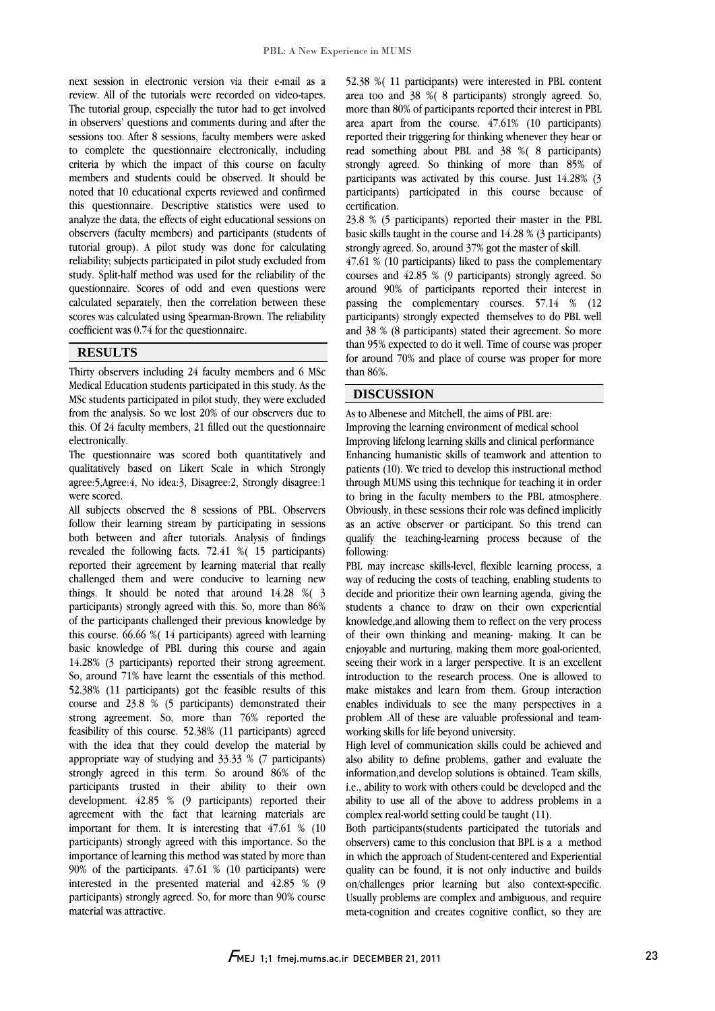$\overline{a}$ 

 next session in electronic version via their e-mail as a review. All of the tutorials were recorded on video-tapes. The tutorial group, especially the tutor had to get involved in observers' questions and comments during and after the to complete the questionnaire electronically, including criteria by which the impact of this course on faculty members and students could be observed. It should be this questionnaire. Descriptive statistics were used to analyze the data, the effects of eight educational sessions on observers (faculty members) and participants (students of tutorial group). A pilot study was done for calculating study. Split-half method was used for the reliability of the questionnaire. Scores of odd and even questions were calculated separately, then the correlation between these scores was calculated using Spearman-Brown. The reliability  $\overline{a}$ sessions too. After 8 sessions, faculty members were asked noted that 10 educational experts reviewed and confirmed reliability; subjects participated in pilot study excluded from coefficient was 0.74 for the questionnaire.

#### **RESULTS**

 Thirty observers including 24 faculty members and 6 MSc Medical Education students participated in this study. As the from the analysis. So we lost 20% of our observers due to this. Of 24 faculty members, 21 filled out the questionnaire MSc students participated in pilot study, they were excluded electronically.

 qualitatively based on Likert Scale in which Strongly agree:5,Agree:4, No idea:3, Disagree:2, Strongly disagree:1 The questionnaire was scored both quantitatively and were scored.

 All subjects observed the 8 sessions of PBL. Observers both between and after tutorials. Analysis of findings revealed the following facts. 72.41 %( 15 participants) reported their agreement by learning material that really challenged them and were conducive to learning new things. It should be noted that around 14.20  $\%$  participants) strongly agreed with this. So, more than 86% of the participants challenged their previous knowledge by this course. 66.66 %( 14 participants) agreed with learning basic knowledge of PBL during this course and again So, around 71% have learnt the essentials of this method. 52.38% (11 participants) got the feasible results of this course and 23.8 % (5 participants) demonstrated their strong agreement. So, more than 76% reported the example of this coulder. Sensor (11 participation) agreed appropriate way of studying and 33.33 % (7 participants) strongly agreed in this term. So around 86% of the participants trusted in their ability to their own<br>development. 42.85 % (9 participants) reported their agreement with the fact that learning materials are important for them. It is interesting that 47.61 % (10 participants) strongly agreed with this importance. So the mportance of learning this method was stated by more than<br>90% of the participants. 47.61 % (10 participants) were interested in the presented material and 42.85 % (9 participants) strongly agreed. So, for more than 90% course follow their learning stream by participating in sessions things. It should be noted that around 14.28 %( 3 14.28% (3 participants) reported their strong agreement. feasibility of this course. 52.38% (11 participants) agreed participants trusted in their ability to their own importance of learning this method was stated by more than material was attractive.

 52.38 %( 11 participants) were interested in PBL content area too and 38 %( 8 participants) strongly agreed. So, more than 80% of participants reported their interest in PBL area apart from the course. 47.61% (10 participants) reported then the second solutions whenever they hear or participants was activated by this course. Just 14.28% (3 participants) participated in this course because of reported their triggering for thinking whenever they hear or strongly agreed. So thinking of more than 85% of certification.

 23.8 % (5 participants) reported their master in the PBL basic skills taught in the course and 14.28 % (3 participants) strongly agreed. So, around 37% got the master of skill.

strongly agreed. So, around 3/% got the master of skill.<br>47.61 % (10 participants) liked to pass the complementary courses and 42.85 % (9 participants) strongly agreed. So around 90% of participants reported their interest in passing the complementary courses. 57.14 % (12 participants) strongly expected themselves to do PBL well than 95% expected to do it well. Time of course was proper for around 70% and place of course was proper for more and 38 % (8 participants) stated their agreement. So more than 86%.

### **DISCUSSION**

As to Albenese and Mitchell, the aims of PBL are:

 Improving lifelong learning skills and clinical performance enhancing numanisuc skills of teamwork and attention to<br>patients (10). We tried to develop this instructional method through MUMS using this technique for teaching it in order to bring in the faculty members to the PBL atmosphere. Obviously, in these sessions their role was defined implicitly as an active observer or participant. So this trend can<br>qualify the teaching-learning process because of the Improving the learning environment of medical school Enhancing humanistic skills of teamwork and attention to as an active observer or participant. So this trend can following:

٦

 PBL may increase skills-level, flexible learning process, a way of reducing the costs of teaching, enabling students to students a chance to draw on their own experiential knowledge,and allowing them to reflect on the very process of their own thinking and meaning- making. It can be enjoyable and nurturing, making them more goal-oriented, introduction to the research process. One is allowed to make mistakes and learn from them. Group interaction enables individuals to see the many perspectives in a problem .All of these are valuable professional and teamdecide and prioritize their own learning agenda, giving the seeing their work in a larger perspective. It is an excellent working skills for life beyond university.

 High level of communication skills could be achieved and also ability to define problems, gather and evaluate the information,and develop solutions is obtained. Team skills,  $\mathbf{R}$ ability to use all of the above to address problems in a<br>complex real-world setting could be taught (11). i.e., ability to work with others could be developed and the complex real-world setting could be taught (11).

 Both participants(students participated the tutorials and observers) came to this conclusion that BPL is a a method In which the approach of student-tentered and experiential<br>quality can be found, it is not only inductive and builds on/challenges prior learning but also context-specific. Usually problems are complex and ambiguous, and require meta-cognition and creates cognitive conflict, so they are in which the approach of Student-centered and Experiential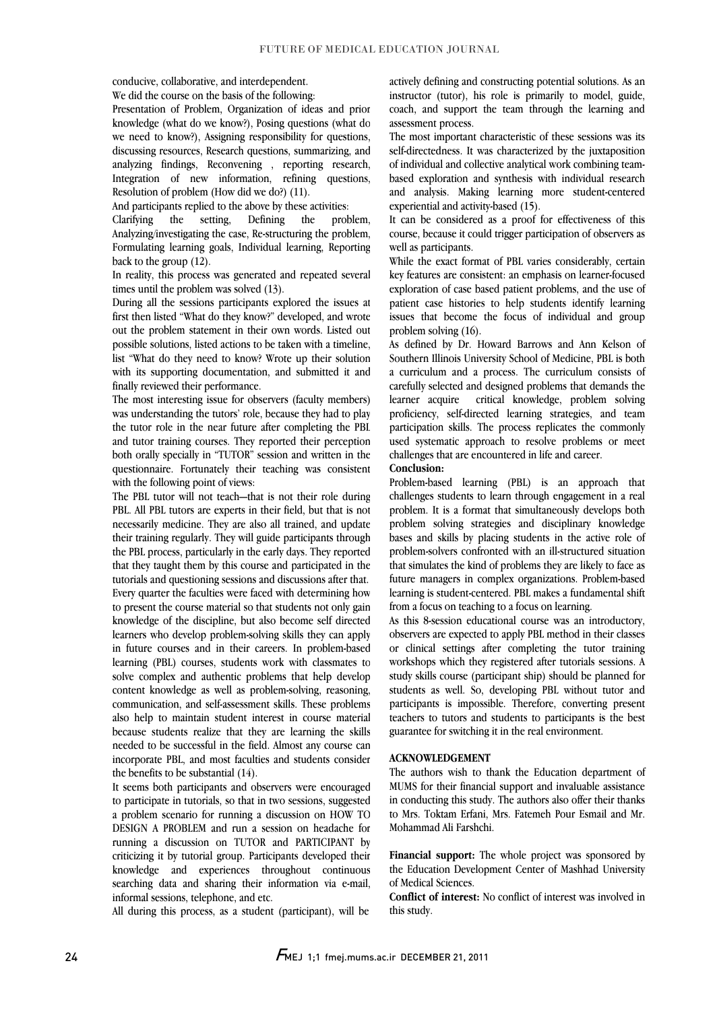conducive, collaborative, and interdependent. We did the course on the basis of the following:

 Presentation of Problem, Organization of ideas and prior knowledge (what do we know?), Posing questions (what do discussing resources, Research questions, summarizing, and analyzing findings, Reconvening , reporting research, Integration of new information, refining questions, we need to know?), Assigning responsibility for questions, Resolution of problem (How did we do?) (11).

And participants replied to the above by these activities:

 Clarifying the setting, Defining the problem, Analyzing/investigating the case, Re-structuring the problem, Formulating learning goals, Individual learning, Reporting  $\overline{\phantom{a}}$ back to the group (12).

In reality, this process was generated and repeated several times until the problem was solved (13).

 During all the sessions participants explored the issues at first then listed "What do they know?" developed, and wrote possible solutions, listed actions to be taken with a timeline, list "What do they need to know? Wrote up their solution with its supporting documentation, and submitted it and out the problem statement in their own words. Listed out finally reviewed their performance.

tinally reviewed their pertormance.<br>The most interesting issue for observers (faculty members) was understanding the tutors' role, because they had to play the tutor role in the near future after completing the PBL and tutor training courses. They reported their perception poin orally specially in TUTOR session and written in the<br>questionnaire. Fortunately their teaching was consistent Î both orally specially in "TUTOR" session and written in the with the following point of views:

 The PBL tutor will not teach—that is not their role during PBL. All PBL tutors are experts in their field, but that is not necessarily medicine. They are also all trained, and update the PBL process, particularly in the early days. They reported that they taught them by this course and participated in the tutorials and questioning sessions and discussions after that. Every quarier the ractifies were raced with determining now<br>to present the course material so that students not only gain knowledge of the discipline, but also become self directed learners who develop problem-solving skills they can apply in future courses and in their careers. In problem-based solve complex and authentic problems that help develop content knowledge as well as problem-solving, reasoning, communication, and self-assessment skills. These problems also help to maintain student interest in course material needed to be successful in the field. Almost any course can incorporate PBL, and most faculties and students consider their training regularly. They will guide participants through Every quarter the faculties were faced with determining how learning (PBL) courses, students work with classmates to because students realize that they are learning the skills the benefits to be substantial (14).

 It seems both participants and observers were encouraged a problem scenario for running a discussion on HOW TO DESIGN A PROBLEM and run a session on headache for running a discussion on TUTOR and PARTICIPANT by criticizing it by tutorial group. Participants developed their searching data and sharing their information via e-mail, to participate in tutorials, so that in two sessions, suggested knowledge and experiences throughout continuous informal sessions, telephone, and etc.

All during this process, as a student (participant), will be

 actively defining and constructing potential solutions. As an instructor (tutor), his role is primarily to model, guide, coach, and support the team through the learning and assessment process.

assessment process.<br>The most important characteristic of these sessions was its self-directedness. It was characterized by the juxtaposition of individual and collective analytical work combining team- based exploration and synthesis with individual research and analysis. Making learning more student-centered experiential and activity-based (15).

It can be considered as a proof for effectiveness of this course, because it could trigger participation of observers as well as participants.

while the exact format of rbl. varies considerably, certain<br>key features are consistent: an emphasis on learner-focused exploration of case based patient problems, and the use of patient case histories to help students identify learning issues that become the focus of individual and group While the exact format of PBL varies considerably, certain problem solving (16).

 As defined by Dr. Howard Barrows and Ann Kelson of Southern Illinois University School of Medicine, PBL is both a curriculum and a process. The curriculum consists of carefully selected and designed problems that demands the proficiency, self-directed learning strategies, and team participation skills. The process replicates the commonly used systematic approach to resolve problems or meet learner acquire critical knowledge, problem solving challenges that are encountered in life and career.

**Conclusion:** 

 Problem-based learning (PBL) is an approach that challenges students to learn through engagement in a real problem. It is a format that simultaneously develops both problem solving strategies and disciplinary knowledge<br>bases and skills by placing students in the active role of problem-solvers confronted with an ill-structured situation that simulates the kind of problems they are likely to face as future managers in complex organizations. Problem-based learning is student-centered. PBL makes a fundamental shift problem solving strategies and disciplinary knowledge from a focus on teaching to a focus on learning.

 As this 8-session educational course was an introductory, observers are expected to apply PBL method in their classes or clinical settings after completing the tutor training study skills course (participant ship) should be planned for students as well. So, developing PBL without tutor and participants is impossible. Therefore, converting present teachers to tutors and students to participants is the best workshops which they registered after tutorials sessions. A guarantee for switching it in the real environment.

#### **ACKNOWLEDGEMENT**

 The authors wish to thank the Education department of mums for their imancial support and invaluable assistance<br>in conducting this study. The authors also offer their thanks to Mrs. Toktam Erfani, Mrs. Fatemeh Pour Esmail and Mr. MUMS for their financial support and invaluable assistance Mohammad Ali Farshchi.

**Financial support:** The whole project was sponsored by<br>the Education Development Center of Mashhad University ľ **Financial support:** The whole project was sponsored by of Medical Sciences.

 **Conflict of interest:** No conflict of interest was involved in this study.